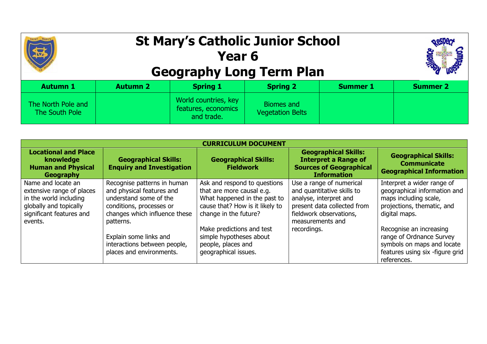## **St Mary's Catholic Junior School Year 6 Geography Long Term Plan**



| <b>Autumn 1</b>                      | <b>Autumn 2</b> | <b>Spring 1</b>                                           | <b>Spring 2</b>                       | <b>Summer 1</b> | <b>Summer 2</b> |
|--------------------------------------|-----------------|-----------------------------------------------------------|---------------------------------------|-----------------|-----------------|
| The North Pole and<br>The South Pole |                 | World countries, key<br>features, economics<br>and trade. | Biomes and<br><b>Vegetation Belts</b> |                 |                 |

| <b>CURRICULUM DOCUMENT</b>                                                                                                                 |                                                                                                                                                              |                                                                                                                                                       |                                                                                                                                                                |                                                                                                                                     |  |
|--------------------------------------------------------------------------------------------------------------------------------------------|--------------------------------------------------------------------------------------------------------------------------------------------------------------|-------------------------------------------------------------------------------------------------------------------------------------------------------|----------------------------------------------------------------------------------------------------------------------------------------------------------------|-------------------------------------------------------------------------------------------------------------------------------------|--|
| <b>Locational and Place</b><br>knowledge<br><b>Human and Physical</b><br>Geography                                                         | <b>Geographical Skills:</b><br><b>Enquiry and Investigation</b>                                                                                              | <b>Geographical Skills:</b><br><b>Fieldwork</b>                                                                                                       | <b>Geographical Skills:</b><br><b>Interpret a Range of</b><br><b>Sources of Geographical</b><br><b>Information</b>                                             | <b>Geographical Skills:</b><br><b>Communicate</b><br><b>Geographical Information</b>                                                |  |
| Name and locate an<br>extensive range of places<br>in the world including<br>globally and topically<br>significant features and<br>events. | Recognise patterns in human<br>and physical features and<br>understand some of the<br>conditions, processes or<br>changes which influence these<br>patterns. | Ask and respond to questions<br>that are more causal e.g.<br>What happened in the past to<br>cause that? How is it likely to<br>change in the future? | Use a range of numerical<br>and quantitative skills to<br>analyse, interpret and<br>present data collected from<br>fieldwork observations,<br>measurements and | Interpret a wider range of<br>geographical information and<br>maps including scale,<br>projections, thematic, and<br>digital maps.  |  |
|                                                                                                                                            | Explain some links and<br>interactions between people,<br>places and environments.                                                                           | Make predictions and test<br>simple hypotheses about<br>people, places and<br>geographical issues.                                                    | recordings.                                                                                                                                                    | Recognise an increasing<br>range of Ordnance Survey<br>symbols on maps and locate<br>features using six -figure grid<br>references. |  |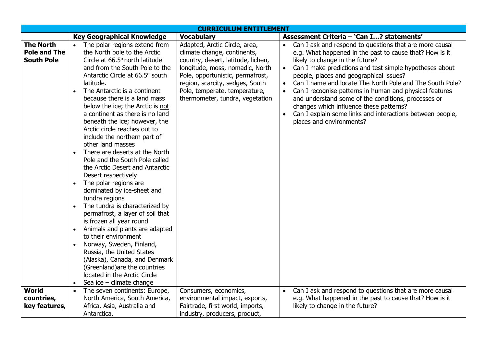| <b>CURRICULUM ENTITLEMENT</b>                                |                                                                                                                                                                                                                                                                                                                                                                                                                                                                                                                                                                                                                                                                                                                                                                                                                                                                                                                                                                                                                                      |                                                                                                                                                                                                                                                                                  |                                                                                                                                                                                                                                                                                                                                                                                                                                                                                                                                                                                                                      |  |
|--------------------------------------------------------------|--------------------------------------------------------------------------------------------------------------------------------------------------------------------------------------------------------------------------------------------------------------------------------------------------------------------------------------------------------------------------------------------------------------------------------------------------------------------------------------------------------------------------------------------------------------------------------------------------------------------------------------------------------------------------------------------------------------------------------------------------------------------------------------------------------------------------------------------------------------------------------------------------------------------------------------------------------------------------------------------------------------------------------------|----------------------------------------------------------------------------------------------------------------------------------------------------------------------------------------------------------------------------------------------------------------------------------|----------------------------------------------------------------------------------------------------------------------------------------------------------------------------------------------------------------------------------------------------------------------------------------------------------------------------------------------------------------------------------------------------------------------------------------------------------------------------------------------------------------------------------------------------------------------------------------------------------------------|--|
|                                                              | <b>Key Geographical Knowledge</b>                                                                                                                                                                                                                                                                                                                                                                                                                                                                                                                                                                                                                                                                                                                                                                                                                                                                                                                                                                                                    | <b>Vocabulary</b>                                                                                                                                                                                                                                                                | Assessment Criteria - 'Can I? statements'                                                                                                                                                                                                                                                                                                                                                                                                                                                                                                                                                                            |  |
| <b>The North</b><br><b>Pole and The</b><br><b>South Pole</b> | The polar regions extend from<br>$\bullet$<br>the North pole to the Arctic<br>Circle at 66.5° north latitude<br>and from the South Pole to the<br>Antarctic Circle at 66.5° south<br>latitude.<br>The Antarctic is a continent<br>because there is a land mass<br>below the ice; the Arctic is not<br>a continent as there is no land<br>beneath the ice; however, the<br>Arctic circle reaches out to<br>include the northern part of<br>other land masses<br>There are deserts at the North<br>Pole and the South Pole called<br>the Arctic Desert and Antarctic<br>Desert respectively<br>The polar regions are<br>$\bullet$<br>dominated by ice-sheet and<br>tundra regions<br>The tundra is characterized by<br>permafrost, a layer of soil that<br>is frozen all year round<br>Animals and plants are adapted<br>to their environment<br>Norway, Sweden, Finland,<br>Russia, the United States<br>(Alaska), Canada, and Denmark<br>(Greenland) are the countries<br>located in the Arctic Circle<br>Sea ice $-$ climate change | Adapted, Arctic Circle, area,<br>climate change, continents,<br>country, desert, latitude, lichen,<br>longitude, moss, nomadic, North<br>Pole, opportunistic, permafrost,<br>region, scarcity, sedges, South<br>Pole, temperate, temperature,<br>thermometer, tundra, vegetation | Can I ask and respond to questions that are more causal<br>e.g. What happened in the past to cause that? How is it<br>likely to change in the future?<br>Can I make predictions and test simple hypotheses about<br>$\bullet$<br>people, places and geographical issues?<br>Can I name and locate The North Pole and The South Pole?<br>$\bullet$<br>Can I recognise patterns in human and physical features<br>$\bullet$<br>and understand some of the conditions, processes or<br>changes which influence these patterns?<br>Can I explain some links and interactions between people,<br>places and environments? |  |
| World                                                        | The seven continents: Europe,                                                                                                                                                                                                                                                                                                                                                                                                                                                                                                                                                                                                                                                                                                                                                                                                                                                                                                                                                                                                        | Consumers, economics,                                                                                                                                                                                                                                                            | Can I ask and respond to questions that are more causal<br>$\bullet$                                                                                                                                                                                                                                                                                                                                                                                                                                                                                                                                                 |  |
| countries,                                                   | North America, South America,                                                                                                                                                                                                                                                                                                                                                                                                                                                                                                                                                                                                                                                                                                                                                                                                                                                                                                                                                                                                        | environmental impact, exports,                                                                                                                                                                                                                                                   | e.g. What happened in the past to cause that? How is it                                                                                                                                                                                                                                                                                                                                                                                                                                                                                                                                                              |  |
| key features,                                                | Africa, Asia, Australia and                                                                                                                                                                                                                                                                                                                                                                                                                                                                                                                                                                                                                                                                                                                                                                                                                                                                                                                                                                                                          | Fairtrade, first world, imports,                                                                                                                                                                                                                                                 | likely to change in the future?                                                                                                                                                                                                                                                                                                                                                                                                                                                                                                                                                                                      |  |
|                                                              | Antarctica.                                                                                                                                                                                                                                                                                                                                                                                                                                                                                                                                                                                                                                                                                                                                                                                                                                                                                                                                                                                                                          | industry, producers, product,                                                                                                                                                                                                                                                    |                                                                                                                                                                                                                                                                                                                                                                                                                                                                                                                                                                                                                      |  |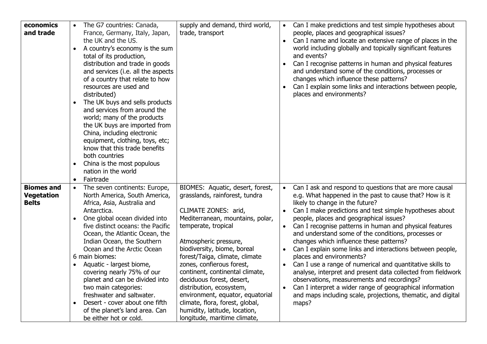| economics         | The G7 countries: Canada,                   | supply and demand, third world,  | $\bullet$ | Can I make predictions and test simple hypotheses about      |
|-------------------|---------------------------------------------|----------------------------------|-----------|--------------------------------------------------------------|
| and trade         | France, Germany, Italy, Japan,              | trade, transport                 |           | people, places and geographical issues?                      |
|                   | the UK and the US.                          |                                  | $\bullet$ | Can I name and locate an extensive range of places in the    |
|                   | A country's economy is the sum<br>$\bullet$ |                                  |           | world including globally and topically significant features  |
|                   | total of its production,                    |                                  |           | and events?                                                  |
|                   | distribution and trade in goods             |                                  |           | Can I recognise patterns in human and physical features      |
|                   | and services (i.e. all the aspects          |                                  |           | and understand some of the conditions, processes or          |
|                   | of a country that relate to how             |                                  |           | changes which influence these patterns?                      |
|                   | resources are used and                      |                                  |           | Can I explain some links and interactions between people,    |
|                   | distributed)                                |                                  |           | places and environments?                                     |
|                   | The UK buys and sells products<br>$\bullet$ |                                  |           |                                                              |
|                   | and services from around the                |                                  |           |                                                              |
|                   | world; many of the products                 |                                  |           |                                                              |
|                   | the UK buys are imported from               |                                  |           |                                                              |
|                   | China, including electronic                 |                                  |           |                                                              |
|                   | equipment, clothing, toys, etc;             |                                  |           |                                                              |
|                   | know that this trade benefits               |                                  |           |                                                              |
|                   | both countries                              |                                  |           |                                                              |
|                   | China is the most populous<br>$\bullet$     |                                  |           |                                                              |
|                   | nation in the world                         |                                  |           |                                                              |
|                   | Fairtrade<br>$\bullet$                      |                                  |           |                                                              |
| <b>Biomes and</b> | The seven continents: Europe,<br>$\bullet$  | BIOMES: Aquatic, desert, forest, | $\bullet$ | Can I ask and respond to questions that are more causal      |
| <b>Vegetation</b> | North America, South America,               | grasslands, rainforest, tundra   |           | e.g. What happened in the past to cause that? How is it      |
| <b>Belts</b>      | Africa, Asia, Australia and                 |                                  |           | likely to change in the future?                              |
|                   | Antarctica.                                 | CLIMATE ZONES: arid,             |           | Can I make predictions and test simple hypotheses about      |
|                   | One global ocean divided into<br>$\bullet$  | Mediterranean, mountains, polar, |           | people, places and geographical issues?                      |
|                   | five distinct oceans: the Pacific           | temperate, tropical              |           | Can I recognise patterns in human and physical features      |
|                   | Ocean, the Atlantic Ocean, the              |                                  |           | and understand some of the conditions, processes or          |
|                   | Indian Ocean, the Southern                  | Atmospheric pressure,            |           | changes which influence these patterns?                      |
|                   | Ocean and the Arctic Ocean                  | biodiversity, biome, boreal      |           | Can I explain some links and interactions between people,    |
|                   | 6 main biomes:                              | forest/Taiga, climate, climate   |           | places and environments?                                     |
|                   | Aquatic - largest biome,<br>$\bullet$       | zones, confierous forest,        |           | Can I use a range of numerical and quantitative skills to    |
|                   | covering nearly 75% of our                  | continent, continental climate,  |           | analyse, interpret and present data collected from fieldwork |
|                   | planet and can be divided into              | deciduous forest, desert,        |           | observations, measurements and recordings?                   |
|                   | two main categories:                        | distribution, ecosystem,         |           | Can I interpret a wider range of geographical information    |
|                   | freshwater and saltwater.                   | environment, equator, equatorial |           | and maps including scale, projections, thematic, and digital |
|                   | Desert - cover about one fifth<br>$\bullet$ | climate, flora, forest, global,  |           | maps?                                                        |
|                   | of the planet's land area. Can              | humidity, latitude, location,    |           |                                                              |
|                   | be either hot or cold.                      | longitude, maritime climate,     |           |                                                              |